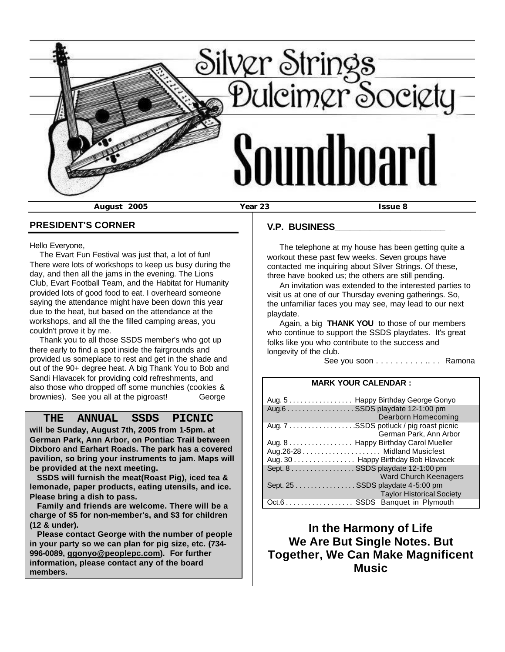

## **PRESIDENT'S CORNER**

Hello Everyone,

 The Evart Fun Festival was just that, a lot of fun! There were lots of workshops to keep us busy during the day, and then all the jams in the evening. The Lions Club, Evart Football Team, and the Habitat for Humanity provided lots of good food to eat. I overheard someone saying the attendance might have been down this year due to the heat, but based on the attendance at the workshops, and all the the filled camping areas, you couldn't prove it by me.

 Thank you to all those SSDS member's who got up there early to find a spot inside the fairgrounds and provided us someplace to rest and get in the shade and out of the 90+ degree heat. A big Thank You to Bob and Sandi Hlavacek for providing cold refreshments, and also those who dropped off some munchies (cookies & brownies). See you all at the pigroast! George

# **THE ANNUAL SSDS PICNIC**

**will be Sunday, August 7th, 2005 from 1-5pm. at German Park, Ann Arbor, on Pontiac Trail between Dixboro and Earhart Roads. The park has a covered pavilion, so bring your instruments to jam. Maps will be provided at the next meeting.**

 **SSDS will furnish the meat(Roast Pig), iced tea & lemonade, paper products, eating utensils, and ice. Please bring a dish to pass.** 

 **Family and friends are welcome. There will be a charge of \$5 for non-member's, and \$3 for children (12 & under).**

 **Please contact George with the number of people in your party so we can plan for pig size, etc. (734- 996-0089, ggonyo@peoplepc.com). For further information, please contact any of the board members.**

## **V.P. BUSINESS\_\_\_\_\_\_\_\_\_\_\_\_\_\_\_\_\_\_\_\_\_\_**

 The telephone at my house has been getting quite a workout these past few weeks. Seven groups have contacted me inquiring about Silver Strings. Of these, three have booked us; the others are still pending.

 An invitation was extended to the interested parties to visit us at one of our Thursday evening gatherings. So, the unfamiliar faces you may see, may lead to our next playdate.

 Again, a big **THANK YOU** to those of our members who continue to support the SSDS playdates. It's great folks like you who contribute to the success and longevity of the club.

See you soon . . . . . . . . . . . . . Ramona

#### **MARK YOUR CALENDAR :**

| Aug. 5 Happy Birthday George Gonyo     |
|----------------------------------------|
| Aug.6 SSDS playdate 12-1:00 pm         |
| Dearborn Homecoming                    |
| Aug. 7 SSDS potluck / pig roast picnic |
| German Park, Ann Arbor                 |
| Aug. 8 Happy Birthday Carol Mueller    |
|                                        |
| Aug. 30 Happy Birthday Bob Hlavacek    |
| Sept. 8 SSDS playdate 12-1:00 pm       |
| <b>Ward Church Keenagers</b>           |
| Sept. 25 SSDS playdate 4-5:00 pm       |
| <b>Taylor Historical Society</b>       |
| Oct.6 SSDS Banquet in Plymouth         |

**In the Harmony of Life We Are But Single Notes. But Together, We Can Make Magnificent Music**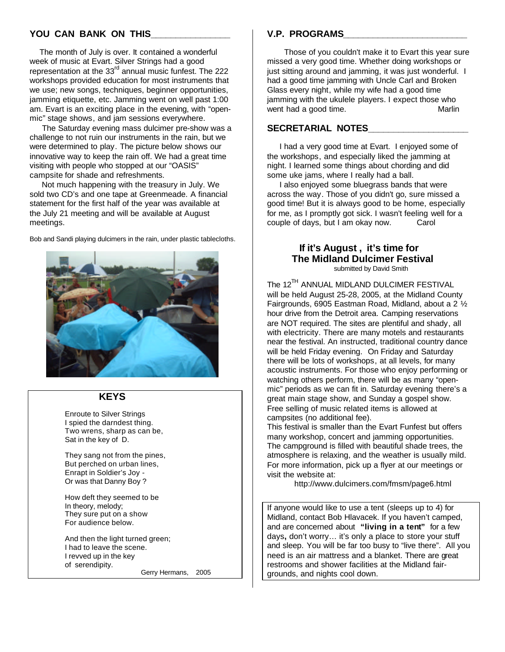# YOU CAN BANK ON THIS

 The month of July is over. It contained a wonderful week of music at Evart. Silver Strings had a good representation at the 33<sup>rd</sup> annual music funfest. The 222 workshops provided education for most instruments that we use; new songs, techniques, beginner opportunities, jamming etiquette, etc. Jamming went on well past 1:00 am. Evart is an exciting place in the evening, with "openmic" stage shows, and jam sessions everywhere.

 The Saturday evening mass dulcimer pre-show was a challenge to not ruin our instruments in the rain, but we were determined to play. The picture below shows our innovative way to keep the rain off. We had a great time visiting with people who stopped at our "OASIS" campsite for shade and refreshments.

 Not much happening with the treasury in July. We sold two CD's and one tape at Greenmeade. A financial statement for the first half of the year was available at the July 21 meeting and will be available at August meetings.

Bob and Sandi playing dulcimers in the rain, under plastic tablecloths.



# **KEYS**

 Enroute to Silver Strings I spied the darndest thing. Two wrens, sharp as can be, Sat in the key of D.

 They sang not from the pines, But perched on urban lines, Enrapt in Soldier's Joy - Or was that Danny Boy ?

 How deft they seemed to be In theory, melody; They sure put on a show For audience below.

 And then the light turned green; I had to leave the scene. I revved up in the key of serendipity.

Gerry Hermans, 2005

#### **V.P. PROGRAMS\_\_\_\_\_\_\_\_\_\_\_\_\_\_\_\_\_\_\_\_\_\_\_\_\_**

 Those of you couldn't make it to Evart this year sure missed a very good time. Whether doing workshops or just sitting around and jamming, it was just wonderful. I had a good time jamming with Uncle Carl and Broken Glass every night, while my wife had a good time jamming with the ukulele players. I expect those who went had a good time. The matter of the Marlin

## **SECRETARIAL NOTES\_\_\_\_\_\_\_\_\_\_\_\_\_\_\_\_\_\_\_\_**

 I had a very good time at Evart. I enjoyed some of the workshops, and especially liked the jamming at night. I learned some things about chording and did some uke jams, where I really had a ball.

 I also enjoyed some bluegrass bands that were across the way. Those of you didn't go, sure missed a good time! But it is always good to be home, especially for me, as I promptly got sick. I wasn't feeling well for a couple of days, but I am okay now. Carol

#### **If it's August , it's time for The Midland Dulcimer Festival** submitted by David Smith

The 12<sup>TH</sup> ANNUAL MIDLAND DULCIMER FESTIVAL will be held August 25-28, 2005, at the Midland County Fairgrounds, 6905 Eastman Road, Midland, about a 2 ½ hour drive from the Detroit area. Camping reservations are NOT required. The sites are plentiful and shady, all with electricity. There are many motels and restaurants near the festival. An instructed, traditional country dance will be held Friday evening. On Friday and Saturday there will be lots of workshops, at all levels, for many acoustic instruments. For those who enjoy performing or watching others perform, there will be as many "openmic" periods as we can fit in. Saturday evening there's a great main stage show, and Sunday a gospel show. Free selling of music related items is allowed at campsites (no additional fee).

This festival is smaller than the Evart Funfest but offers many workshop, concert and jamming opportunities. The campground is filled with beautiful shade trees, the atmosphere is relaxing, and the weather is usually mild. For more information, pick up a flyer at our meetings or visit the website at:

http://www.dulcimers.com/fmsm/page6.html

If anyone would like to use a tent (sleeps up to 4) for Midland, contact Bob Hlavacek. If you haven't camped, and are concerned about **"living in a tent"** for a few days**,** don't worry… it's only a place to store your stuff and sleep. You will be far too busy to "live there". All you need is an air mattress and a blanket. There are great restrooms and shower facilities at the Midland fairgrounds, and nights cool down.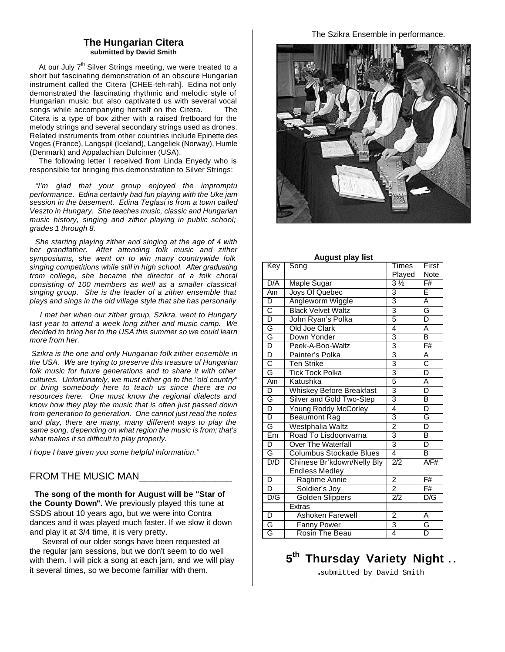#### **The Hungarian Citera submitted by David Smith**

At our July  $7<sup>th</sup>$  Silver Strings meeting, we were treated to a short but fascinating demonstration of an obscure Hungarian instrument called the Citera [CHEE-teh-rah]. Edina not only demonstrated the fascinating rhythmic and melodic style of Hungarian music but also captivated us with several vocal songs while accompanying herself on the Citera. The Citera is a type of box zither with a raised fretboard for the melody strings and several secondary strings used as drones. Related instruments from other countries include Epinette des Voges (France), Langspil (Iceland), Langeliek (Norway), Humle (Denmark) and Appalachian Dulcimer (USA).

 The following letter I received from Linda Enyedy who is responsible for bringing this demonstration to Silver Strings:

 *"I'm glad that your group enjoyed the impromptu performance. Edina certainly had fun playing with the Uke jam session in the basement. Edina Teglasi is from a town called Veszto in Hungary. She teaches music, classic and Hungarian music history, singing and zither playing in public school; grades 1 through 8.*

 *She starting playing zither and singing at the age of 4 with her grandfather. After attending folk music and zither symposiums, she went on to win many countrywide folk singing competitions while still in high school. After graduating from college, she became the director of a folk choral consisting of 100 members as well as a smaller classical singing group. She is the leader of a zither ensemble that plays and sings in the old village style that she has personally* 

 *I met her when our zither group, Szikra, went to Hungary last year to attend a week long zither and music camp. We decided to bring her to the USA this summer so we could learn more from her.*

*Szikra is the one and only Hungarian folk zither ensemble in the USA. We are trying to preserve this treasure of Hungarian folk music for future generations and to share it with other cultures. Unfortunately, we must either go to the "old country" or bring somebody here to teach us since there are no resources here. One must know the regional dialects and know how they play the music that is often just passed down from generation to generation. One cannot just read the notes and play, there are many, many different ways to play the same song, depending on what region the music is from; that's what makes it so difficult to play properly.*

*I hope I have given you some helpful information."* 

#### FROM THE MUSIC MAN

 **The song of the month for August will be "Star of the County Down".** We previously played this tune at SSDS about 10 years ago, but we were into Contra dances and it was played much faster. If we slow it down and play it at 3/4 time, it is very pretty.

 Several of our older songs have been requested at the regular jam sessions, but we don't seem to do well with them. I will pick a song at each jam, and we will play it several times, so we become familiar with them.

The Szikra Ensemble in performance.



| Key                     | Song                            | Times          | First                             |
|-------------------------|---------------------------------|----------------|-----------------------------------|
|                         |                                 | Played         | Note                              |
| D/A                     | <b>Maple Sugar</b>              | $3\frac{1}{2}$ | $\overline{F#}$                   |
| Am                      | Joys Of Quebec                  | $\overline{3}$ | Ē                                 |
| D                       | Angleworm Wiggle                | $\overline{3}$ | Ā                                 |
|                         | <b>Black Velvet Waltz</b>       | $rac{3}{5}$    | G                                 |
| $rac{C}{D}$             | John Ryan's Polka               |                | D                                 |
| D G G                   | Old Joe Clark                   | 4              | Ā                                 |
|                         | Down Yonder                     | $\frac{3}{3}$  | B                                 |
|                         | Peek-A-Boo-Waltz                |                | $\overline{\mathsf{F}\mathsf{H}}$ |
| D                       | Painter's Polka                 | 3              | Α                                 |
| $\overline{\text{c}}$   | <b>Ten Strike</b>               | $\overline{3}$ | $\overline{\text{c}}$             |
| G                       | <b>Tick Tock Polka</b>          | $\frac{3}{5}$  | $\overline{\mathsf{D}}$           |
| Am                      | Katushka                        |                | Ā                                 |
| D                       | <b>Whiskey Before Breakfast</b> | $\frac{3}{3}$  | D                                 |
| G                       | Silver and Gold Two-Step        |                | B                                 |
| $\overline{\mathsf{D}}$ | Young Roddy McCorley            | $\overline{4}$ | D                                 |
| D                       | <b>Beaumont Rag</b>             | $\overline{3}$ | G                                 |
| G                       | Westphalia Waltz                | $\overline{2}$ | D                                 |
| Em                      | Road To Lisdoonvarna            | $\overline{3}$ | B                                 |
| D                       | <b>Over The Waterfall</b>       | $\overline{3}$ | D                                 |
| G                       | <b>Columbus Stockade Blues</b>  | $\overline{4}$ | B                                 |
| D/D                     | Chinese Br'kdown/Nelly Bly      | 2/2            | A/F#                              |
|                         | <b>Endless Medley</b>           |                |                                   |
| $\overline{\mathsf{D}}$ | Ragtime Annie                   | $\overline{2}$ | $\overline{F#}$                   |
| $\overline{\mathsf{D}}$ | Soldier's Joy                   | $\overline{2}$ | $\overline{F#}$                   |
| D/G                     | <b>Golden Slippers</b>          | 2/2            | D/G                               |
|                         | <b>Extras</b>                   |                |                                   |
| $\overline{D}$          | <b>Ashoken Farewell</b>         | $\overline{2}$ | A                                 |
| G                       | <b>Fanny Power</b>              | $\frac{3}{4}$  | G                                 |
| G                       | <b>Rosin The Beau</b>           |                | $\overline{D}$                    |

#### **August play list**

**5 th Thursday Variety Night . .** 

**.**submitted by David Smith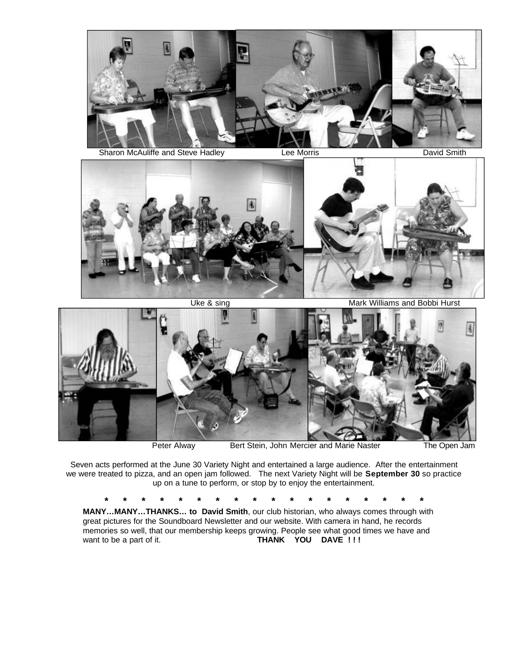

Sharon McAuliffe and Steve Hadley **Lee Morris** Lee Morris **David Smith** David Smith



Uke & sing Mark Williams and Bobbi Hurst



Peter Alway **Bert Stein, John Mercier and Marie Naster** The Open Jam

Seven acts performed at the June 30 Variety Night and entertained a large audience. After the entertainment we were treated to pizza, and an open jam followed. The next Variety Night will be **September 30** so practice up on a tune to perform, or stop by to enjoy the entertainment.

**\* \* \* \* \* \* \* \* \* \* \* \* \* \* \* \* \* \***

**MANY…MANY…THANKS… to David Smith**, our club historian, who always comes through with great pictures for the Soundboard Newsletter and our website. With camera in hand, he records memories so well, that our membership keeps growing. People see what good times we have and want to be a part of it. **THANK YOU DAVE !!!**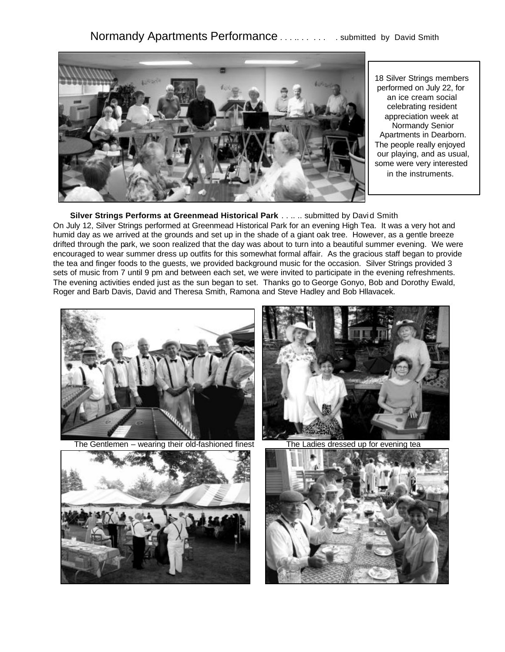

18 Silver Strings members performed on July 22, for an ice cream social celebrating resident appreciation week at Normandy Senior Apartments in Dearborn. The people really enjoyed our playing, and as usual, some were very interested in the instruments.

## **Silver Strings Performs at Greenmead Historical Park** . . .. .. submitted by Davi d Smith

On July 12, Silver Strings performed at Greenmead Historical Park for an evening High Tea. It was a very hot and humid day as we arrived at the grounds and set up in the shade of a giant oak tree. However, as a gentle breeze drifted through the park, we soon realized that the day was about to turn into a beautiful summer evening. We were encouraged to wear summer dress up outfits for this somewhat formal affair. As the gracious staff began to provide the tea and finger foods to the guests, we provided background music for the occasion. Silver Strings provided 3 sets of music from 7 until 9 pm and between each set, we were invited to participate in the evening refreshments. The evening activities ended just as the sun began to set. Thanks go to George Gonyo, Bob and Dorothy Ewald, Roger and Barb Davis, David and Theresa Smith, Ramona and Steve Hadley and Bob Hllavacek.



The Gentlemen – wearing their old-fashioned finest The Ladies dressed up for evening